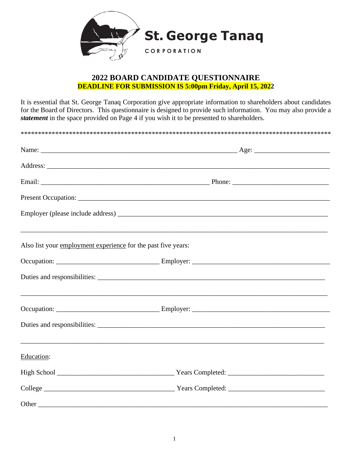

## **2022 BOARD CANDIDATE QUESTIONNAIRE DEADLINE FOR SUBMISSION IS 5:00pm Friday, April 15, 2022**

It is essential that St. George Tanaq Corporation give appropriate information to shareholders about candidates for the Board of Directors. This questionnaire is designed to provide such information. You may also provide a *statement* in the space provided on Page 4 if you wish it to be presented to shareholders.

| Also list your employment experience for the past five years: |  |  |  |  |  |
|---------------------------------------------------------------|--|--|--|--|--|
|                                                               |  |  |  |  |  |
|                                                               |  |  |  |  |  |
|                                                               |  |  |  |  |  |
|                                                               |  |  |  |  |  |
| Education:                                                    |  |  |  |  |  |
|                                                               |  |  |  |  |  |
|                                                               |  |  |  |  |  |
|                                                               |  |  |  |  |  |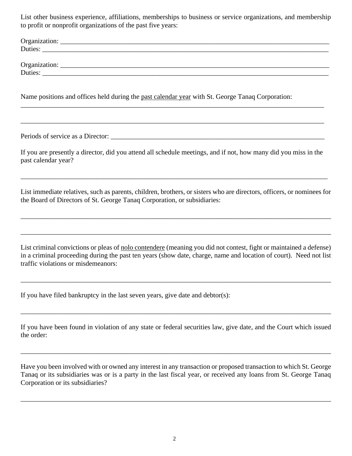List other business experience, affiliations, memberships to business or service organizations, and membership to profit or nonprofit organizations of the past five years:

| Organization: |  |  |  |
|---------------|--|--|--|
| Duties:       |  |  |  |
|               |  |  |  |
| Organization: |  |  |  |
| Duties:       |  |  |  |

Name positions and offices held during the past calendar year with St. George Tanaq Corporation:

Periods of service as a Director:

If you are presently a director, did you attend all schedule meetings, and if not, how many did you miss in the past calendar year?

\_\_\_\_\_\_\_\_\_\_\_\_\_\_\_\_\_\_\_\_\_\_\_\_\_\_\_\_\_\_\_\_\_\_\_\_\_\_\_\_\_\_\_\_\_\_\_\_\_\_\_\_\_\_\_\_\_\_\_\_\_\_\_\_\_\_\_\_\_\_\_\_\_\_\_\_\_\_\_\_\_\_\_\_\_\_\_\_

\_\_\_\_\_\_\_\_\_\_\_\_\_\_\_\_\_\_\_\_\_\_\_\_\_\_\_\_\_\_\_\_\_\_\_\_\_\_\_\_\_\_\_\_\_\_\_\_\_\_\_\_\_\_\_\_\_\_\_\_\_\_\_\_\_\_\_\_\_\_\_\_\_\_\_\_\_\_\_\_\_\_\_\_\_\_\_\_

List immediate relatives, such as parents, children, brothers, or sisters who are directors, officers, or nominees for the Board of Directors of St. George Tanaq Corporation, or subsidiaries:

\_\_\_\_\_\_\_\_\_\_\_\_\_\_\_\_\_\_\_\_\_\_\_\_\_\_\_\_\_\_\_\_\_\_\_\_\_\_\_\_\_\_\_\_\_\_\_\_\_\_\_\_\_\_\_\_\_\_\_\_\_\_\_\_\_\_\_\_\_\_\_\_\_\_\_\_\_\_\_\_\_\_\_\_\_\_\_\_\_\_

\_\_\_\_\_\_\_\_\_\_\_\_\_\_\_\_\_\_\_\_\_\_\_\_\_\_\_\_\_\_\_\_\_\_\_\_\_\_\_\_\_\_\_\_\_\_\_\_\_\_\_\_\_\_\_\_\_\_\_\_\_\_\_\_\_\_\_\_\_\_\_\_\_\_\_\_\_\_\_\_\_\_\_\_\_\_\_\_\_\_

\_\_\_\_\_\_\_\_\_\_\_\_\_\_\_\_\_\_\_\_\_\_\_\_\_\_\_\_\_\_\_\_\_\_\_\_\_\_\_\_\_\_\_\_\_\_\_\_\_\_\_\_\_\_\_\_\_\_\_\_\_\_\_\_\_\_\_\_\_\_\_\_\_\_\_\_\_\_\_\_\_\_\_\_\_\_\_\_\_

List criminal convictions or pleas of nolo contendere (meaning you did not contest, fight or maintained a defense) in a criminal proceeding during the past ten years (show date, charge, name and location of court). Need not list traffic violations or misdemeanors:

\_\_\_\_\_\_\_\_\_\_\_\_\_\_\_\_\_\_\_\_\_\_\_\_\_\_\_\_\_\_\_\_\_\_\_\_\_\_\_\_\_\_\_\_\_\_\_\_\_\_\_\_\_\_\_\_\_\_\_\_\_\_\_\_\_\_\_\_\_\_\_\_\_\_\_\_\_\_\_\_\_\_\_\_\_\_\_\_\_\_

If you have filed bankruptcy in the last seven years, give date and debtor(s):

If you have been found in violation of any state or federal securities law, give date, and the Court which issued the order:

\_\_\_\_\_\_\_\_\_\_\_\_\_\_\_\_\_\_\_\_\_\_\_\_\_\_\_\_\_\_\_\_\_\_\_\_\_\_\_\_\_\_\_\_\_\_\_\_\_\_\_\_\_\_\_\_\_\_\_\_\_\_\_\_\_\_\_\_\_\_\_\_\_\_\_\_\_\_\_\_\_\_\_\_\_\_\_\_\_\_

\_\_\_\_\_\_\_\_\_\_\_\_\_\_\_\_\_\_\_\_\_\_\_\_\_\_\_\_\_\_\_\_\_\_\_\_\_\_\_\_\_\_\_\_\_\_\_\_\_\_\_\_\_\_\_\_\_\_\_\_\_\_\_\_\_\_\_\_\_\_\_\_\_\_\_\_\_\_\_\_\_\_\_\_\_\_\_\_\_\_

Have you been involved with or owned any interest in any transaction or proposed transaction to which St. George Tanaq or its subsidiaries was or is a party in the last fiscal year, or received any loans from St. George Tanaq Corporation or its subsidiaries?

\_\_\_\_\_\_\_\_\_\_\_\_\_\_\_\_\_\_\_\_\_\_\_\_\_\_\_\_\_\_\_\_\_\_\_\_\_\_\_\_\_\_\_\_\_\_\_\_\_\_\_\_\_\_\_\_\_\_\_\_\_\_\_\_\_\_\_\_\_\_\_\_\_\_\_\_\_\_\_\_\_\_\_\_\_\_\_\_\_\_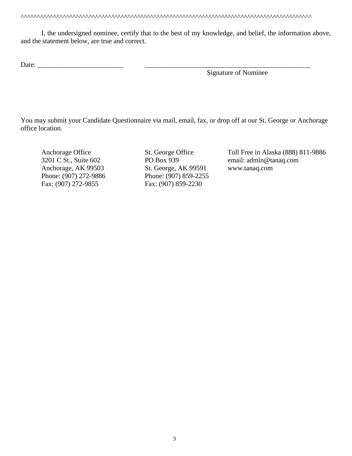^^^^^^^^^^^^^^^^^^^^^^^^^^^^^^^^^^^^^^^^^^^^^^^^^^^^^^^^^^^^^^^^^^^^^^^^^^^^^^^^^^^^^^^^^^

I, the undersigned nominee, certify that to the best of my knowledge, and belief, the information above, and the statement below, are true and correct.

Date:

Signature of Nominee

You may submit your Candidate Questionnaire via mail, email, fax, or drop off at our St. George or Anchorage office location.

Phone: (907) 272-9886 Fax: (907) 272-9855 Fax: (907) 859-2230

Anchorage, AK 99503 St. George, AK 99591 www.tanaq.com<br>
Phone: (907) 272-9886 Phone: (907) 859-2255

Anchorage Office St. George Office Toll Free in Alaska (888) 811-9886 3201 C St., Suite 602 PO Box 939 email: admin@tanaq.com